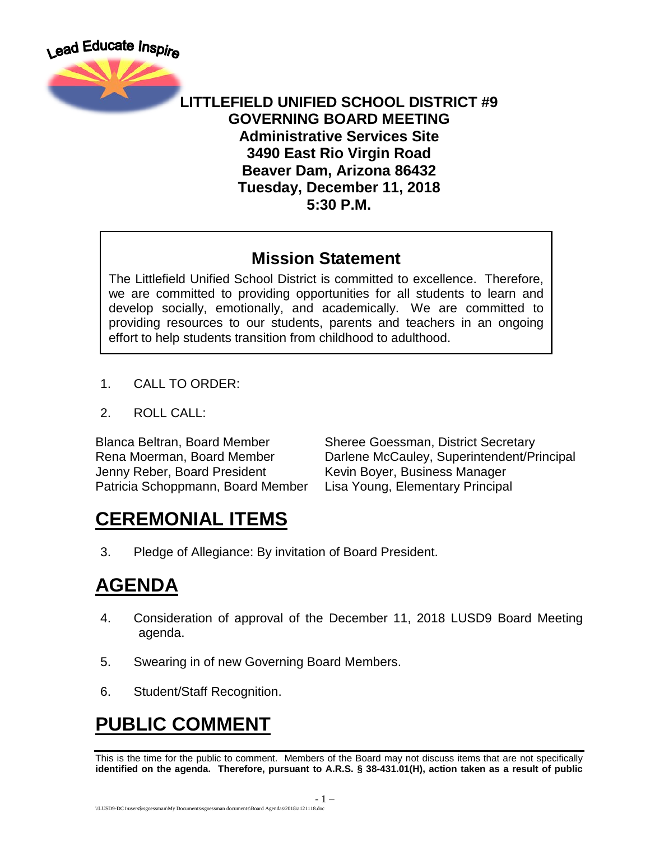

#### **LITTLEFIELD UNIFIED SCHOOL DISTRICT #9 GOVERNING BOARD MEETING Administrative Services Site 3490 East Rio Virgin Road Beaver Dam, Arizona 86432 Tuesday, December 11, 2018 5:30 P.M.**

#### **Mission Statement**

The Littlefield Unified School District is committed to excellence. Therefore, we are committed to providing opportunities for all students to learn and develop socially, emotionally, and academically. We are committed to providing resources to our students, parents and teachers in an ongoing effort to help students transition from childhood to adulthood.

- 1. CALL TO ORDER:
- 2. ROLL CALL:

Blanca Beltran, Board Member Sheree Goessman, District Secretary Jenny Reber, Board President Kevin Boyer, Business Manager Patricia Schoppmann, Board Member Lisa Young, Elementary Principal

Rena Moerman, Board Member **Darlene McCauley, Superintendent/Principal** 

# **CEREMONIAL ITEMS**

3. Pledge of Allegiance: By invitation of Board President.

# **AGENDA**

- 4. Consideration of approval of the December 11, 2018 LUSD9 Board Meeting agenda.
- 5. Swearing in of new Governing Board Members.
- 6. Student/Staff Recognition.

# **PUBLIC COMMENT**

This is the time for the public to comment. Members of the Board may not discuss items that are not specifically **identified on the agenda. Therefore, pursuant to A.R.S. § 38-431.01(H), action taken as a result of public**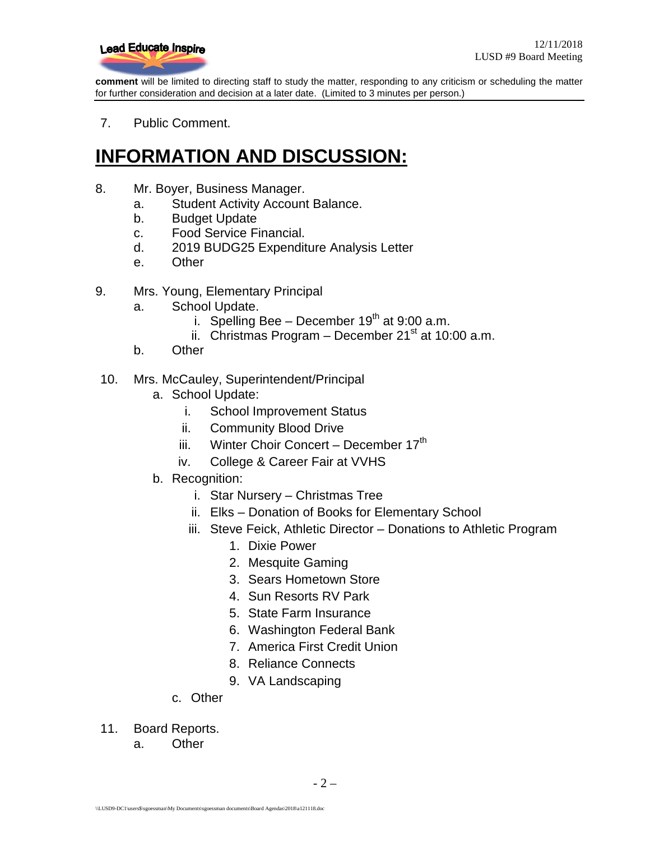

**comment** will be limited to directing staff to study the matter, responding to any criticism or scheduling the matter for further consideration and decision at a later date. (Limited to 3 minutes per person.)

7. Public Comment.

### **INFORMATION AND DISCUSSION:**

- 8. Mr. Boyer, Business Manager.
	- a. Student Activity Account Balance.
	- b. Budget Update
	- c. Food Service Financial.
	- d. 2019 BUDG25 Expenditure Analysis Letter
	- e. Other
- 9. Mrs. Young, Elementary Principal
	- a. School Update.
		- i. Spelling Bee December  $19<sup>th</sup>$  at 9:00 a.m.
		- ii. Christmas Program December  $21<sup>st</sup>$  at 10:00 a.m.
	- b. Other
- 10. Mrs. McCauley, Superintendent/Principal
	- a. School Update:
		- i. School Improvement Status
		- ii. Community Blood Drive
		- iii. Winter Choir Concert December 17<sup>th</sup>
		- iv. College & Career Fair at VVHS
	- b. Recognition:
		- i. Star Nursery Christmas Tree
		- ii. Elks Donation of Books for Elementary School
		- iii. Steve Feick, Athletic Director Donations to Athletic Program
			- 1. Dixie Power
			- 2. Mesquite Gaming
			- 3. Sears Hometown Store
			- 4. Sun Resorts RV Park
			- 5. State Farm Insurance
			- 6. Washington Federal Bank
			- 7. America First Credit Union
			- 8. Reliance Connects
			- 9. VA Landscaping
		- c. Other
- 11. Board Reports.
	- a. Other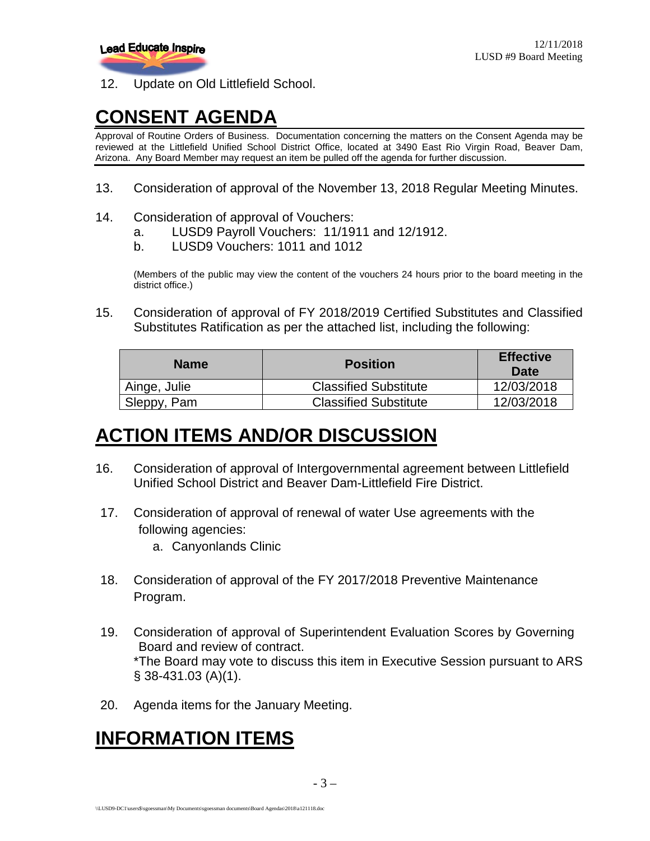

12. Update on Old Littlefield School.

# **CONSENT AGENDA**

Approval of Routine Orders of Business. Documentation concerning the matters on the Consent Agenda may be reviewed at the Littlefield Unified School District Office, located at 3490 East Rio Virgin Road, Beaver Dam, Arizona. Any Board Member may request an item be pulled off the agenda for further discussion.

13. Consideration of approval of the November 13, 2018 Regular Meeting Minutes.

#### 14. Consideration of approval of Vouchers:

- a. LUSD9 Payroll Vouchers: 11/1911 and 12/1912.
- b. LUSD9 Vouchers: 1011 and 1012

(Members of the public may view the content of the vouchers 24 hours prior to the board meeting in the district office.)

15. Consideration of approval of FY 2018/2019 Certified Substitutes and Classified Substitutes Ratification as per the attached list, including the following:

| <b>Name</b>  | <b>Position</b>              | <b>Effective</b><br>Date |
|--------------|------------------------------|--------------------------|
| Ainge, Julie | <b>Classified Substitute</b> | 12/03/2018               |
| Sleppy, Pam  | <b>Classified Substitute</b> | 12/03/2018               |

#### **ACTION ITEMS AND/OR DISCUSSION**

- 16. Consideration of approval of Intergovernmental agreement between Littlefield Unified School District and Beaver Dam-Littlefield Fire District.
- 17. Consideration of approval of renewal of water Use agreements with the following agencies:
	- a. Canyonlands Clinic
- 18. Consideration of approval of the FY 2017/2018 Preventive Maintenance Program.
- 19. Consideration of approval of Superintendent Evaluation Scores by Governing Board and review of contract. \*The Board may vote to discuss this item in Executive Session pursuant to ARS § 38-431.03 (A)(1).
- 20. Agenda items for the January Meeting.

#### **INFORMATION ITEMS**